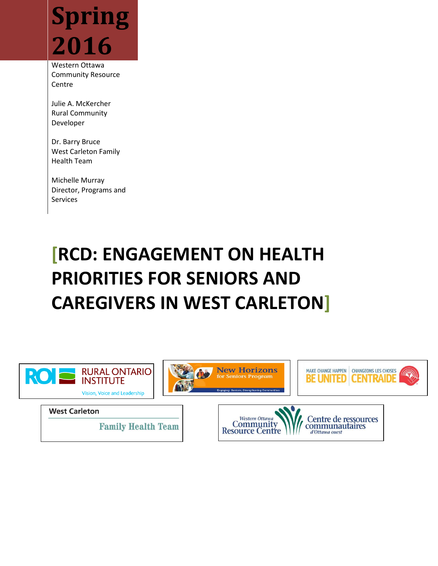

Western Ottawa Community Resource **Centre** 

Julie A. McKercher Rural Community Developer

Dr. Barry Bruce West Carleton Family Health Team

Michelle Murray Director, Programs and Services

# **[RCD: ENGAGEMENT ON HEALTH PRIORITIES FOR SENIORS AND CAREGIVERS IN WEST CARLETON]**

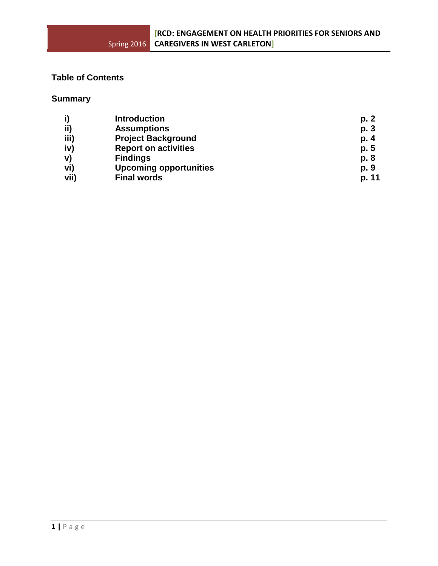# **Table of Contents**

# **Summary**

| i)   | <b>Introduction</b>           | p. 2  |
|------|-------------------------------|-------|
| ii)  | <b>Assumptions</b>            | p. 3  |
| iii) | <b>Project Background</b>     | p. 4  |
| iv)  | <b>Report on activities</b>   | p. 5  |
| V)   | <b>Findings</b>               | p. 8  |
| vi)  | <b>Upcoming opportunities</b> | p. 9  |
| vii) | <b>Final words</b>            | p. 11 |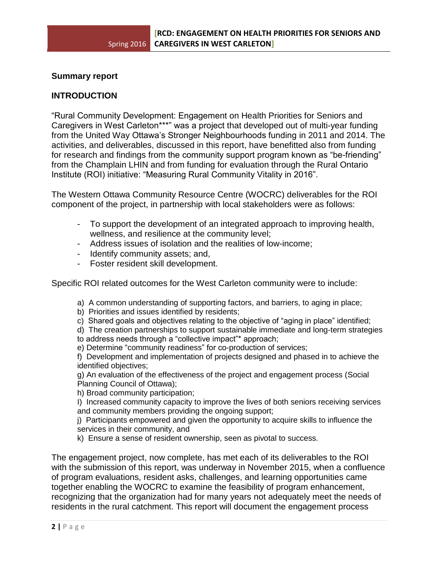#### **Summary report**

#### **INTRODUCTION**

"Rural Community Development: Engagement on Health Priorities for Seniors and Caregivers in West Carleton\*\*\*" was a project that developed out of multi-year funding from the United Way Ottawa's Stronger Neighbourhoods funding in 2011 and 2014. The activities, and deliverables, discussed in this report, have benefitted also from funding for research and findings from the community support program known as "be-friending" from the Champlain LHIN and from funding for evaluation through the Rural Ontario Institute (ROI) initiative: "Measuring Rural Community Vitality in 2016".

The Western Ottawa Community Resource Centre (WOCRC) deliverables for the ROI component of the project, in partnership with local stakeholders were as follows:

- To support the development of an integrated approach to improving health, wellness, and resilience at the community level;
- Address issues of isolation and the realities of low-income;
- Identify community assets; and,
- Foster resident skill development.

Specific ROI related outcomes for the West Carleton community were to include:

- a) A common understanding of supporting factors, and barriers, to aging in place;
- b) Priorities and issues identified by residents;
- c) Shared goals and objectives relating to the objective of "aging in place" identified;

d) The creation partnerships to support sustainable immediate and long-term strategies

- to address needs through a "collective impact"\* approach;
- e) Determine "community readiness" for co-production of services;

f) Development and implementation of projects designed and phased in to achieve the identified objectives;

g) An evaluation of the effectiveness of the project and engagement process (Social Planning Council of Ottawa);

h) Broad community participation;

I) Increased community capacity to improve the lives of both seniors receiving services and community members providing the ongoing support;

j) Participants empowered and given the opportunity to acquire skills to influence the services in their community, and

k) Ensure a sense of resident ownership, seen as pivotal to success.

The engagement project, now complete, has met each of its deliverables to the ROI with the submission of this report, was underway in November 2015, when a confluence of program evaluations, resident asks, challenges, and learning opportunities came together enabling the WOCRC to examine the feasibility of program enhancement, recognizing that the organization had for many years not adequately meet the needs of residents in the rural catchment. This report will document the engagement process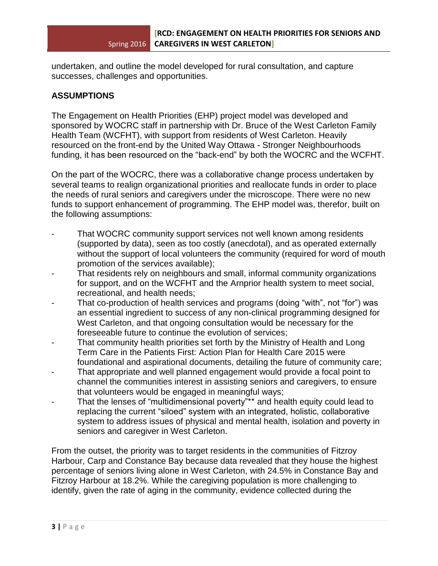undertaken, and outline the model developed for rural consultation, and capture successes, challenges and opportunities.

# **ASSUMPTIONS**

The Engagement on Health Priorities (EHP) project model was developed and sponsored by WOCRC staff in partnership with Dr. Bruce of the West Carleton Family Health Team (WCFHT), with support from residents of West Carleton. Heavily resourced on the front-end by the United Way Ottawa - Stronger Neighbourhoods funding, it has been resourced on the "back-end" by both the WOCRC and the WCFHT.

On the part of the WOCRC, there was a collaborative change process undertaken by several teams to realign organizational priorities and reallocate funds in order to place the needs of rural seniors and caregivers under the microscope. There were no new funds to support enhancement of programming. The EHP model was, therefor, built on the following assumptions:

- That WOCRC community support services not well known among residents (supported by data), seen as too costly (anecdotal), and as operated externally without the support of local volunteers the community (required for word of mouth promotion of the services available);
- That residents rely on neighbours and small, informal community organizations for support, and on the WCFHT and the Arnprior health system to meet social, recreational, and health needs;
- That co-production of health services and programs (doing "with", not "for") was an essential ingredient to success of any non-clinical programming designed for West Carleton, and that ongoing consultation would be necessary for the foreseeable future to continue the evolution of services;
- That community health priorities set forth by the Ministry of Health and Long Term Care in the Patients First: Action Plan for Health Care 2015 were foundational and aspirational documents, detailing the future of community care;
- That appropriate and well planned engagement would provide a focal point to channel the communities interest in assisting seniors and caregivers, to ensure that volunteers would be engaged in meaningful ways;
- That the lenses of "multidimensional poverty"\*\* and health equity could lead to replacing the current "siloed" system with an integrated, holistic, collaborative system to address issues of physical and mental health, isolation and poverty in seniors and caregiver in West Carleton.

From the outset, the priority was to target residents in the communities of Fitzroy Harbour, Carp and Constance Bay because data revealed that they house the highest percentage of seniors living alone in West Carleton, with 24.5% in Constance Bay and Fitzroy Harbour at 18.2%. While the caregiving population is more challenging to identify, given the rate of aging in the community, evidence collected during the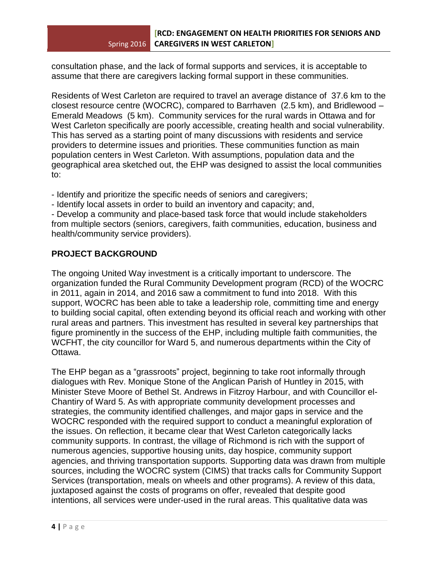consultation phase, and the lack of formal supports and services, it is acceptable to assume that there are caregivers lacking formal support in these communities.

Residents of West Carleton are required to travel an average distance of 37.6 km to the closest resource centre (WOCRC), compared to Barrhaven (2.5 km), and Bridlewood – Emerald Meadows (5 km). Community services for the rural wards in Ottawa and for West Carleton specifically are poorly accessible, creating health and social vulnerability. This has served as a starting point of many discussions with residents and service providers to determine issues and priorities. These communities function as main population centers in West Carleton. With assumptions, population data and the geographical area sketched out, the EHP was designed to assist the local communities to:

- Identify and prioritize the specific needs of seniors and caregivers;

- Identify local assets in order to build an inventory and capacity; and,

- Develop a community and place-based task force that would include stakeholders from multiple sectors (seniors, caregivers, faith communities, education, business and health/community service providers).

# **PROJECT BACKGROUND**

The ongoing United Way investment is a critically important to underscore. The organization funded the Rural Community Development program (RCD) of the WOCRC in 2011, again in 2014, and 2016 saw a commitment to fund into 2018. With this support, WOCRC has been able to take a leadership role, committing time and energy to building social capital, often extending beyond its official reach and working with other rural areas and partners. This investment has resulted in several key partnerships that figure prominently in the success of the EHP, including multiple faith communities, the WCFHT, the city councillor for Ward 5, and numerous departments within the City of Ottawa.

The EHP began as a "grassroots" project, beginning to take root informally through dialogues with Rev. Monique Stone of the Anglican Parish of Huntley in 2015, with Minister Steve Moore of Bethel St. Andrews in Fitzroy Harbour, and with Councillor el-Chantiry of Ward 5. As with appropriate community development processes and strategies, the community identified challenges, and major gaps in service and the WOCRC responded with the required support to conduct a meaningful exploration of the issues. On reflection, it became clear that West Carleton categorically lacks community supports. In contrast, the village of Richmond is rich with the support of numerous agencies, supportive housing units, day hospice, community support agencies, and thriving transportation supports. Supporting data was drawn from multiple sources, including the WOCRC system (CIMS) that tracks calls for Community Support Services (transportation, meals on wheels and other programs). A review of this data, juxtaposed against the costs of programs on offer, revealed that despite good intentions, all services were under-used in the rural areas. This qualitative data was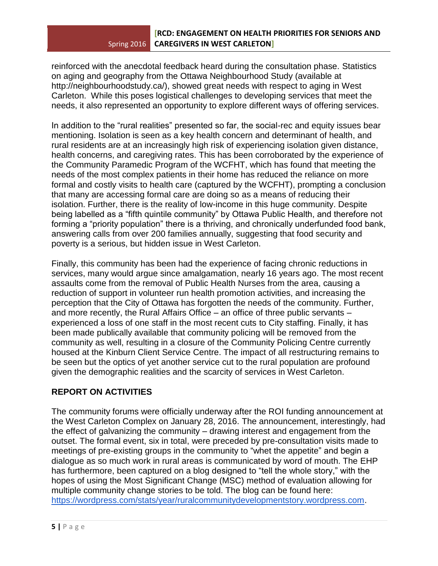reinforced with the anecdotal feedback heard during the consultation phase. Statistics on aging and geography from the Ottawa Neighbourhood Study (available at http://neighbourhoodstudy.ca/), showed great needs with respect to aging in West Carleton. While this poses logistical challenges to developing services that meet the needs, it also represented an opportunity to explore different ways of offering services.

In addition to the "rural realities" presented so far, the social-rec and equity issues bear mentioning. Isolation is seen as a key health concern and determinant of health, and rural residents are at an increasingly high risk of experiencing isolation given distance, health concerns, and caregiving rates. This has been corroborated by the experience of the Community Paramedic Program of the WCFHT, which has found that meeting the needs of the most complex patients in their home has reduced the reliance on more formal and costly visits to health care (captured by the WCFHT), prompting a conclusion that many are accessing formal care are doing so as a means of reducing their isolation. Further, there is the reality of low-income in this huge community. Despite being labelled as a "fifth quintile community" by Ottawa Public Health, and therefore not forming a "priority population" there is a thriving, and chronically underfunded food bank, answering calls from over 200 families annually, suggesting that food security and poverty is a serious, but hidden issue in West Carleton.

Finally, this community has been had the experience of facing chronic reductions in services, many would argue since amalgamation, nearly 16 years ago. The most recent assaults come from the removal of Public Health Nurses from the area, causing a reduction of support in volunteer run health promotion activities, and increasing the perception that the City of Ottawa has forgotten the needs of the community. Further, and more recently, the Rural Affairs Office – an office of three public servants – experienced a loss of one staff in the most recent cuts to City staffing. Finally, it has been made publically available that community policing will be removed from the community as well, resulting in a closure of the Community Policing Centre currently housed at the Kinburn Client Service Centre. The impact of all restructuring remains to be seen but the optics of yet another service cut to the rural population are profound given the demographic realities and the scarcity of services in West Carleton.

## **REPORT ON ACTIVITIES**

The community forums were officially underway after the ROI funding announcement at the West Carleton Complex on January 28, 2016. The announcement, interestingly, had the effect of galvanizing the community – drawing interest and engagement from the outset. The formal event, six in total, were preceded by pre-consultation visits made to meetings of pre-existing groups in the community to "whet the appetite" and begin a dialogue as so much work in rural areas is communicated by word of mouth. The EHP has furthermore, been captured on a blog designed to "tell the whole story," with the hopes of using the Most Significant Change (MSC) method of evaluation allowing for multiple community change stories to be told. The blog can be found here: [https://wordpress.com/stats/year/ruralcommunitydevelopmentstory.wordpress.com.](https://wordpress.com/stats/year/ruralcommunitydevelopmentstory.wordpress.com)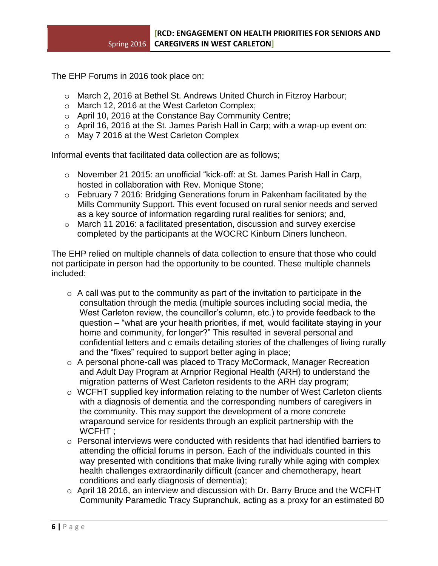The EHP Forums in 2016 took place on:

- o March 2, 2016 at Bethel St. Andrews United Church in Fitzroy Harbour;
- o March 12, 2016 at the West Carleton Complex;
- o April 10, 2016 at the Constance Bay Community Centre;
- $\circ$  April 16, 2016 at the St. James Parish Hall in Carp; with a wrap-up event on:
- o May 7 2016 at the West Carleton Complex

Informal events that facilitated data collection are as follows;

- o November 21 2015: an unofficial "kick-off: at St. James Parish Hall in Carp, hosted in collaboration with Rev. Monique Stone;
- o February 7 2016: Bridging Generations forum in Pakenham facilitated by the Mills Community Support. This event focused on rural senior needs and served as a key source of information regarding rural realities for seniors; and,
- o March 11 2016: a facilitated presentation, discussion and survey exercise completed by the participants at the WOCRC Kinburn Diners luncheon.

The EHP relied on multiple channels of data collection to ensure that those who could not participate in person had the opportunity to be counted. These multiple channels included:

- $\circ$  A call was put to the community as part of the invitation to participate in the consultation through the media (multiple sources including social media, the West Carleton review, the councillor's column, etc.) to provide feedback to the question – "what are your health priorities, if met, would facilitate staying in your home and community, for longer?" This resulted in several personal and confidential letters and c emails detailing stories of the challenges of living rurally and the "fixes" required to support better aging in place;
- o A personal phone-call was placed to Tracy McCormack, Manager Recreation and Adult Day Program at Arnprior Regional Health (ARH) to understand the migration patterns of West Carleton residents to the ARH day program;
- o WCFHT supplied key information relating to the number of West Carleton clients with a diagnosis of dementia and the corresponding numbers of caregivers in the community. This may support the development of a more concrete wraparound service for residents through an explicit partnership with the WCFHT:
- $\circ$  Personal interviews were conducted with residents that had identified barriers to attending the official forums in person. Each of the individuals counted in this way presented with conditions that make living rurally while aging with complex health challenges extraordinarily difficult (cancer and chemotherapy, heart conditions and early diagnosis of dementia);
- o April 18 2016, an interview and discussion with Dr. Barry Bruce and the WCFHT Community Paramedic Tracy Supranchuk, acting as a proxy for an estimated 80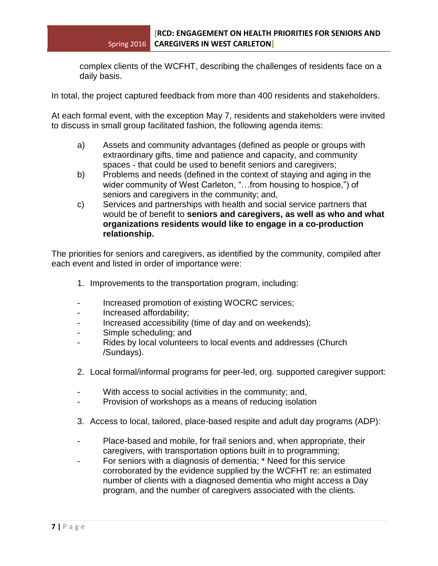complex clients of the WCFHT, describing the challenges of residents face on a daily basis.

In total, the project captured feedback from more than 400 residents and stakeholders.

At each formal event, with the exception May 7, residents and stakeholders were invited to discuss in small group facilitated fashion, the following agenda items:

- a) Assets and community advantages (defined as people or groups with extraordinary gifts, time and patience and capacity, and community spaces - that could be used to benefit seniors and caregivers;
- b) Problems and needs (defined in the context of staying and aging in the wider community of West Carleton, "...from housing to hospice,") of seniors and caregivers in the community; and,
- c) Services and partnerships with health and social service partners that would be of benefit to **seniors and caregivers, as well as who and what organizations residents would like to engage in a co-production relationship.**

The priorities for seniors and caregivers, as identified by the community, compiled after each event and listed in order of importance were:

- 1. Improvements to the transportation program, including:
- Increased promotion of existing WOCRC services;
- Increased affordability;
- Increased accessibility (time of day and on weekends);
- Simple scheduling; and
- Rides by local volunteers to local events and addresses (Church /Sundays).
- 2. Local formal/informal programs for peer-led, org. supported caregiver support:
- With access to social activities in the community; and,
- Provision of workshops as a means of reducing isolation
- 3. Access to local, tailored, place-based respite and adult day programs (ADP):
- Place-based and mobile, for frail seniors and, when appropriate, their caregivers, with transportation options built in to programming;
- For seniors with a diagnosis of dementia; \* Need for this service corroborated by the evidence supplied by the WCFHT re: an estimated number of clients with a diagnosed dementia who might access a Day program, and the number of caregivers associated with the clients.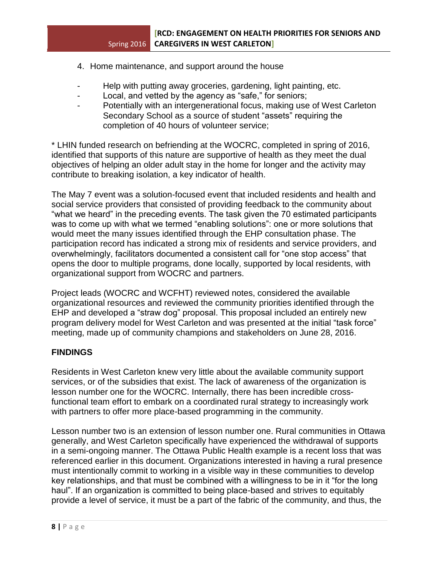- 4. Home maintenance, and support around the house
- Help with putting away groceries, gardening, light painting, etc.
- Local, and vetted by the agency as "safe," for seniors;
- Potentially with an intergenerational focus, making use of West Carleton Secondary School as a source of student "assets" requiring the completion of 40 hours of volunteer service;

\* LHIN funded research on befriending at the WOCRC, completed in spring of 2016, identified that supports of this nature are supportive of health as they meet the dual objectives of helping an older adult stay in the home for longer and the activity may contribute to breaking isolation, a key indicator of health.

The May 7 event was a solution-focused event that included residents and health and social service providers that consisted of providing feedback to the community about "what we heard" in the preceding events. The task given the 70 estimated participants was to come up with what we termed "enabling solutions": one or more solutions that would meet the many issues identified through the EHP consultation phase. The participation record has indicated a strong mix of residents and service providers, and overwhelmingly, facilitators documented a consistent call for "one stop access" that opens the door to multiple programs, done locally, supported by local residents, with organizational support from WOCRC and partners.

Project leads (WOCRC and WCFHT) reviewed notes, considered the available organizational resources and reviewed the community priorities identified through the EHP and developed a "straw dog" proposal. This proposal included an entirely new program delivery model for West Carleton and was presented at the initial "task force" meeting, made up of community champions and stakeholders on June 28, 2016.

## **FINDINGS**

Residents in West Carleton knew very little about the available community support services, or of the subsidies that exist. The lack of awareness of the organization is lesson number one for the WOCRC. Internally, there has been incredible crossfunctional team effort to embark on a coordinated rural strategy to increasingly work with partners to offer more place-based programming in the community.

Lesson number two is an extension of lesson number one. Rural communities in Ottawa generally, and West Carleton specifically have experienced the withdrawal of supports in a semi-ongoing manner. The Ottawa Public Health example is a recent loss that was referenced earlier in this document. Organizations interested in having a rural presence must intentionally commit to working in a visible way in these communities to develop key relationships, and that must be combined with a willingness to be in it "for the long haul". If an organization is committed to being place-based and strives to equitably provide a level of service, it must be a part of the fabric of the community, and thus, the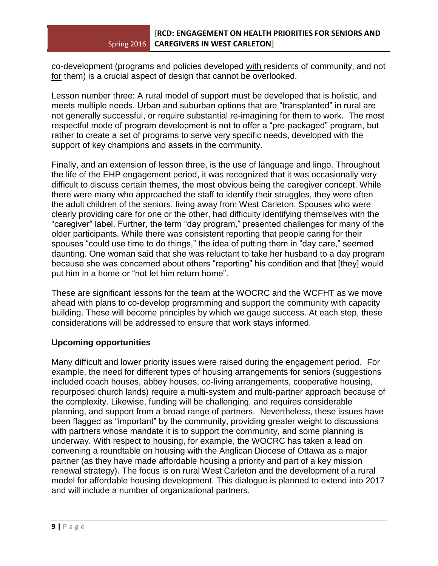co-development (programs and policies developed with residents of community, and not for them) is a crucial aspect of design that cannot be overlooked.

Lesson number three: A rural model of support must be developed that is holistic, and meets multiple needs. Urban and suburban options that are "transplanted" in rural are not generally successful, or require substantial re-imagining for them to work. The most respectful mode of program development is not to offer a "pre-packaged" program, but rather to create a set of programs to serve very specific needs, developed with the support of key champions and assets in the community.

Finally, and an extension of lesson three, is the use of language and lingo. Throughout the life of the EHP engagement period, it was recognized that it was occasionally very difficult to discuss certain themes, the most obvious being the caregiver concept. While there were many who approached the staff to identify their struggles, they were often the adult children of the seniors, living away from West Carleton. Spouses who were clearly providing care for one or the other, had difficulty identifying themselves with the "caregiver" label. Further, the term "day program," presented challenges for many of the older participants. While there was consistent reporting that people caring for their spouses "could use time to do things," the idea of putting them in "day care," seemed daunting. One woman said that she was reluctant to take her husband to a day program because she was concerned about others "reporting" his condition and that [they] would put him in a home or "not let him return home".

These are significant lessons for the team at the WOCRC and the WCFHT as we move ahead with plans to co-develop programming and support the community with capacity building. These will become principles by which we gauge success. At each step, these considerations will be addressed to ensure that work stays informed.

## **Upcoming opportunities**

Many difficult and lower priority issues were raised during the engagement period. For example, the need for different types of housing arrangements for seniors (suggestions included coach houses, abbey houses, co-living arrangements, cooperative housing, repurposed church lands) require a multi-system and multi-partner approach because of the complexity. Likewise, funding will be challenging, and requires considerable planning, and support from a broad range of partners. Nevertheless, these issues have been flagged as "important" by the community, providing greater weight to discussions with partners whose mandate it is to support the community, and some planning is underway. With respect to housing, for example, the WOCRC has taken a lead on convening a roundtable on housing with the Anglican Diocese of Ottawa as a major partner (as they have made affordable housing a priority and part of a key mission renewal strategy). The focus is on rural West Carleton and the development of a rural model for affordable housing development. This dialogue is planned to extend into 2017 and will include a number of organizational partners.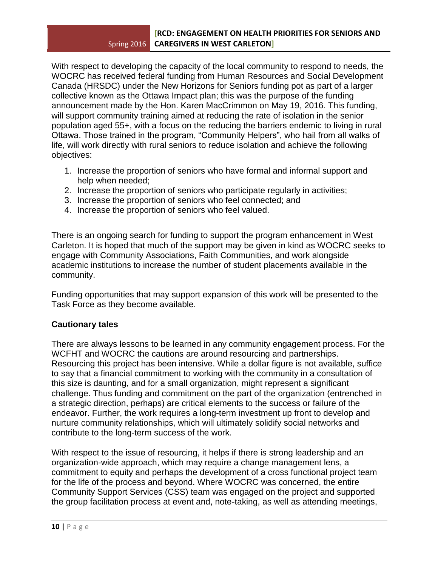With respect to developing the capacity of the local community to respond to needs, the WOCRC has received federal funding from Human Resources and Social Development Canada (HRSDC) under the New Horizons for Seniors funding pot as part of a larger collective known as the Ottawa Impact plan; this was the purpose of the funding announcement made by the Hon. Karen MacCrimmon on May 19, 2016. This funding, will support community training aimed at reducing the rate of isolation in the senior population aged 55+, with a focus on the reducing the barriers endemic to living in rural Ottawa. Those trained in the program, "Community Helpers", who hail from all walks of life, will work directly with rural seniors to reduce isolation and achieve the following objectives:

- 1. Increase the proportion of seniors who have formal and informal support and help when needed;
- 2. Increase the proportion of seniors who participate regularly in activities;
- 3. Increase the proportion of seniors who feel connected; and
- 4. Increase the proportion of seniors who feel valued.

There is an ongoing search for funding to support the program enhancement in West Carleton. It is hoped that much of the support may be given in kind as WOCRC seeks to engage with Community Associations, Faith Communities, and work alongside academic institutions to increase the number of student placements available in the community.

Funding opportunities that may support expansion of this work will be presented to the Task Force as they become available.

## **Cautionary tales**

There are always lessons to be learned in any community engagement process. For the WCFHT and WOCRC the cautions are around resourcing and partnerships. Resourcing this project has been intensive. While a dollar figure is not available, suffice to say that a financial commitment to working with the community in a consultation of this size is daunting, and for a small organization, might represent a significant challenge. Thus funding and commitment on the part of the organization (entrenched in a strategic direction, perhaps) are critical elements to the success or failure of the endeavor. Further, the work requires a long-term investment up front to develop and nurture community relationships, which will ultimately solidify social networks and contribute to the long-term success of the work.

With respect to the issue of resourcing, it helps if there is strong leadership and an organization-wide approach, which may require a change management lens, a commitment to equity and perhaps the development of a cross functional project team for the life of the process and beyond. Where WOCRC was concerned, the entire Community Support Services (CSS) team was engaged on the project and supported the group facilitation process at event and, note-taking, as well as attending meetings,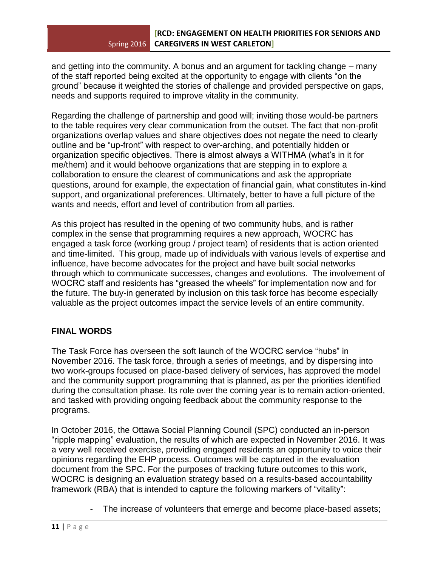and getting into the community. A bonus and an argument for tackling change – many of the staff reported being excited at the opportunity to engage with clients "on the ground" because it weighted the stories of challenge and provided perspective on gaps, needs and supports required to improve vitality in the community.

Regarding the challenge of partnership and good will; inviting those would-be partners to the table requires very clear communication from the outset. The fact that non-profit organizations overlap values and share objectives does not negate the need to clearly outline and be "up-front" with respect to over-arching, and potentially hidden or organization specific objectives. There is almost always a WITHMA (what's in it for me/them) and it would behoove organizations that are stepping in to explore a collaboration to ensure the clearest of communications and ask the appropriate questions, around for example, the expectation of financial gain, what constitutes in-kind support, and organizational preferences. Ultimately, better to have a full picture of the wants and needs, effort and level of contribution from all parties.

As this project has resulted in the opening of two community hubs, and is rather complex in the sense that programming requires a new approach, WOCRC has engaged a task force (working group / project team) of residents that is action oriented and time-limited. This group, made up of individuals with various levels of expertise and influence, have become advocates for the project and have built social networks through which to communicate successes, changes and evolutions. The involvement of WOCRC staff and residents has "greased the wheels" for implementation now and for the future. The buy-in generated by inclusion on this task force has become especially valuable as the project outcomes impact the service levels of an entire community.

## **FINAL WORDS**

The Task Force has overseen the soft launch of the WOCRC service "hubs" in November 2016. The task force, through a series of meetings, and by dispersing into two work-groups focused on place-based delivery of services, has approved the model and the community support programming that is planned, as per the priorities identified during the consultation phase. Its role over the coming year is to remain action-oriented, and tasked with providing ongoing feedback about the community response to the programs.

In October 2016, the Ottawa Social Planning Council (SPC) conducted an in-person "ripple mapping" evaluation, the results of which are expected in November 2016. It was a very well received exercise, providing engaged residents an opportunity to voice their opinions regarding the EHP process. Outcomes will be captured in the evaluation document from the SPC. For the purposes of tracking future outcomes to this work, WOCRC is designing an evaluation strategy based on a results-based accountability framework (RBA) that is intended to capture the following markers of "vitality":

The increase of volunteers that emerge and become place-based assets;